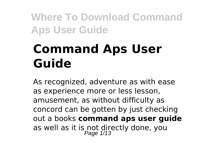# **Command Aps User Guide**

As recognized, adventure as with ease as experience more or less lesson, amusement, as without difficulty as concord can be gotten by just checking out a books **command aps user guide** as well as it is not directly done, you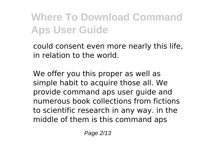could consent even more nearly this life, in relation to the world.

We offer you this proper as well as simple habit to acquire those all. We provide command aps user guide and numerous book collections from fictions to scientific research in any way. in the middle of them is this command aps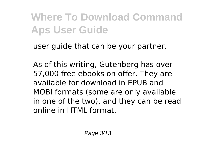user guide that can be your partner.

As of this writing, Gutenberg has over 57,000 free ebooks on offer. They are available for download in EPUB and MOBI formats (some are only available in one of the two), and they can be read online in HTML format.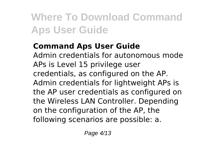#### **Command Aps User Guide**

Admin credentials for autonomous mode APs is Level 15 privilege user credentials, as configured on the AP. Admin credentials for lightweight APs is the AP user credentials as configured on the Wireless LAN Controller. Depending on the configuration of the AP, the following scenarios are possible: a.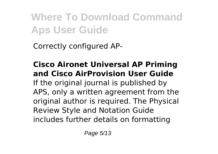Correctly configured AP-

**Cisco Aironet Universal AP Priming and Cisco AirProvision User Guide** If the original journal is published by APS, only a written agreement from the original author is required. The Physical Review Style and Notation Guide includes further details on formatting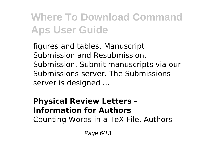figures and tables. Manuscript Submission and Resubmission. Submission. Submit manuscripts via our Submissions server. The Submissions server is designed ...

#### **Physical Review Letters - Information for Authors** Counting Words in a TeX File. Authors

Page 6/13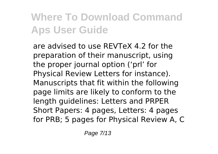are advised to use REVTeX 4.2 for the preparation of their manuscript, using the proper journal option ('prl' for Physical Review Letters for instance). Manuscripts that fit within the following page limits are likely to conform to the length guidelines: Letters and PRPER Short Papers: 4 pages, Letters: 4 pages for PRB; 5 pages for Physical Review A, C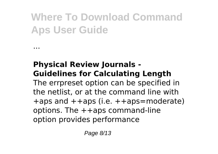#### **Physical Review Journals - Guidelines for Calculating Length**

...

The errpreset option can be specified in the netlist, or at the command line with +aps and ++aps (i.e. ++aps=moderate) options. The ++aps command-line option provides performance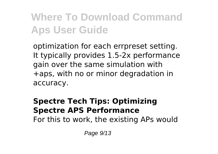optimization for each errpreset setting. It typically provides 1.5-2x performance gain over the same simulation with +aps, with no or minor degradation in accuracy.

#### **Spectre Tech Tips: Optimizing Spectre APS Performance**

For this to work, the existing APs would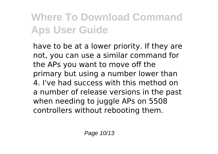have to be at a lower priority. If they are not, you can use a similar command for the APs you want to move off the primary but using a number lower than 4. I've had success with this method on a number of release versions in the past when needing to juggle APs on 5508 controllers without rebooting them.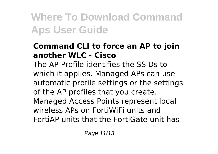#### **Command CLI to force an AP to join another WLC - Cisco**

The AP Profile identifies the SSIDs to which it applies. Managed APs can use automatic profile settings or the settings of the AP profiles that you create. Managed Access Points represent local wireless APs on FortiWiFi units and FortiAP units that the FortiGate unit has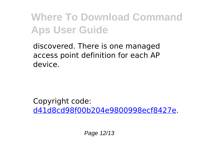discovered. There is one managed access point definition for each AP device.

Copyright code: [d41d8cd98f00b204e9800998ecf8427e.](/sitemap.xml)

Page 12/13